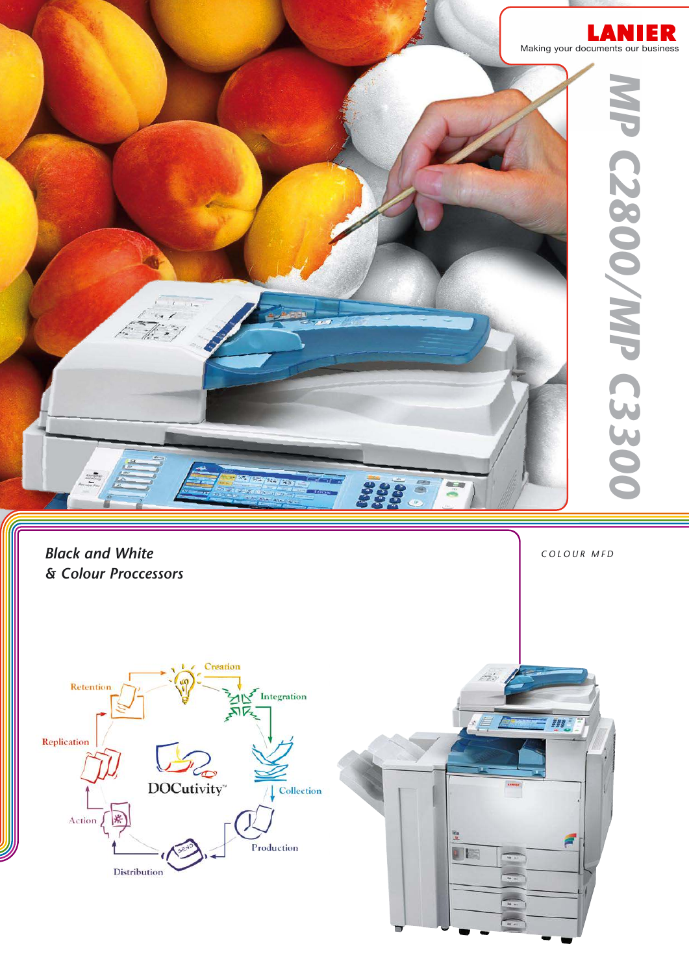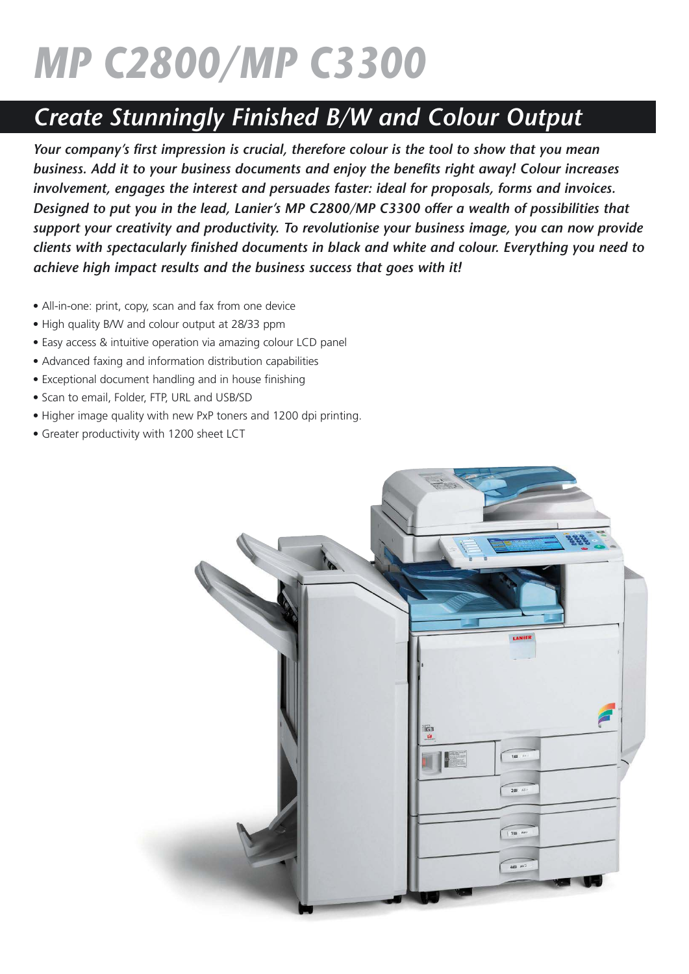# *MP C2800/MP C3300*

## *Create Stunningly Finished B/W and Colour Output*

*Your company's first impression is crucial, therefore colour is the tool to show that you mean business. Add it to your business documents and enjoy the benefits right away! Colour increases involvement, engages the interest and persuades faster: ideal for proposals, forms and invoices. Designed to put you in the lead, Lanier's MP C2800/MP C3300 offer a wealth of possibilities that support your creativity and productivity. To revolutionise your business image, you can now provide clients with spectacularly finished documents in black and white and colour. Everything you need to achieve high impact results and the business success that goes with it!*

- All-in-one: print, copy, scan and fax from one device
- High quality B/W and colour output at 28/33 ppm
- Easy access & intuitive operation via amazing colour LCD panel
- Advanced faxing and information distribution capabilities
- Exceptional document handling and in house finishing
- Scan to email, Folder, FTP, URL and USB/SD
- Higher image quality with new PxP toners and 1200 dpi printing.
- Greater productivity with 1200 sheet LCT

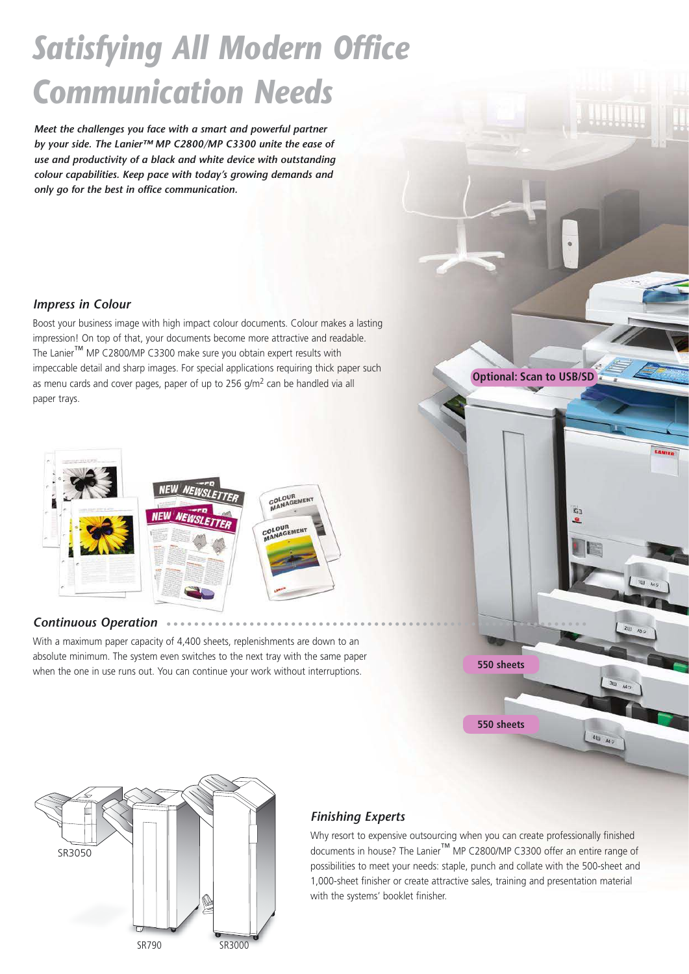## *Satisfying All Modern Office Communication Needs*

*Meet the challenges you face with a smart and powerful partner by your side. The Lanier™ MP C2800/MP C3300 unite the ease of use and productivity of a black and white device with outstanding colour capabilities. Keep pace with today's growing demands and only go for the best in office communication.*

#### *Impress in Colour*

Boost your business image with high impact colour documents. Colour makes a lasting impression! On top of that, your documents become more attractive and readable. The Lanier™ MP C2800/MP C3300 make sure you obtain expert results with impeccable detail and sharp images. For special applications requiring thick paper such as menu cards and cover pages, paper of up to 256 g/m2 can be handled via all paper trays.



#### *Continuous Operation*

With a maximum paper capacity of 4,400 sheets, replenishments are down to an absolute minimum. The system even switches to the next tray with the same paper when the one in use runs out. You can continue your work without interruptions.



**Optional: Scan to USB/SD**



### *Finishing Experts*

Why resort to expensive outsourcing when you can create professionally finished documents in house? The Lanier™ MP C2800/MP C3300 offer an entire range of possibilities to meet your needs: staple, punch and collate with the 500-sheet and 1,000-sheet finisher or create attractive sales, training and presentation material with the systems' booklet finisher.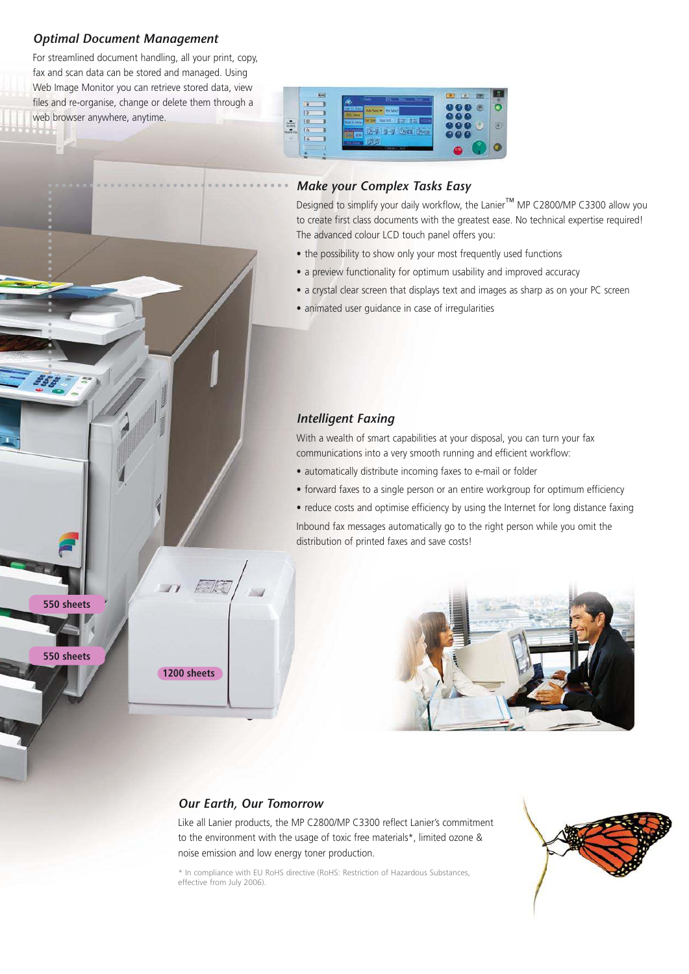#### *Optimal Document Management*

**550 sheets**

**550 sheets**

For streamlined document handling, all your print, copy, fax and scan data can be stored and managed. Using Web Image Monitor you can retrieve stored data, view files and re-organise, change or delete them through a web browser anywhere, anytime.



#### *Make your Complex Tasks Easy*

Designed to simplify your daily workflow, the Lanier™ MP C2800/MP C3300 allow you to create first class documents with the greatest ease. No technical expertise required! The advanced colour LCD touch panel offers you:

- the possibility to show only your most frequently used functions
- a preview functionality for optimum usability and improved accuracy
- a crystal clear screen that displays text and images as sharp as on your PC screen
- animated user guidance in case of irregularities

#### *Intelligent Faxing*

With a wealth of smart capabilities at your disposal, you can turn your fax communications into a very smooth running and efficient workflow:

- automatically distribute incoming faxes to e-mail or folder
- forward faxes to a single person or an entire workgroup for optimum efficiency
- reduce costs and optimise efficiency by using the Internet for long distance faxing

Inbound fax messages automatically go to the right person while you omit the distribution of printed faxes and save costs!



#### *Our Earth, Our Tomorrow*

**1200 sheets**

Like all Lanier products, the MP C2800/MP C3300 reflect Lanier's commitment to the environment with the usage of toxic free materials\*, limited ozone & noise emission and low energy toner production.

\* In compliance with EU RoHS directive (RoHS: Restriction of Hazardous Substances, effective from July 2006).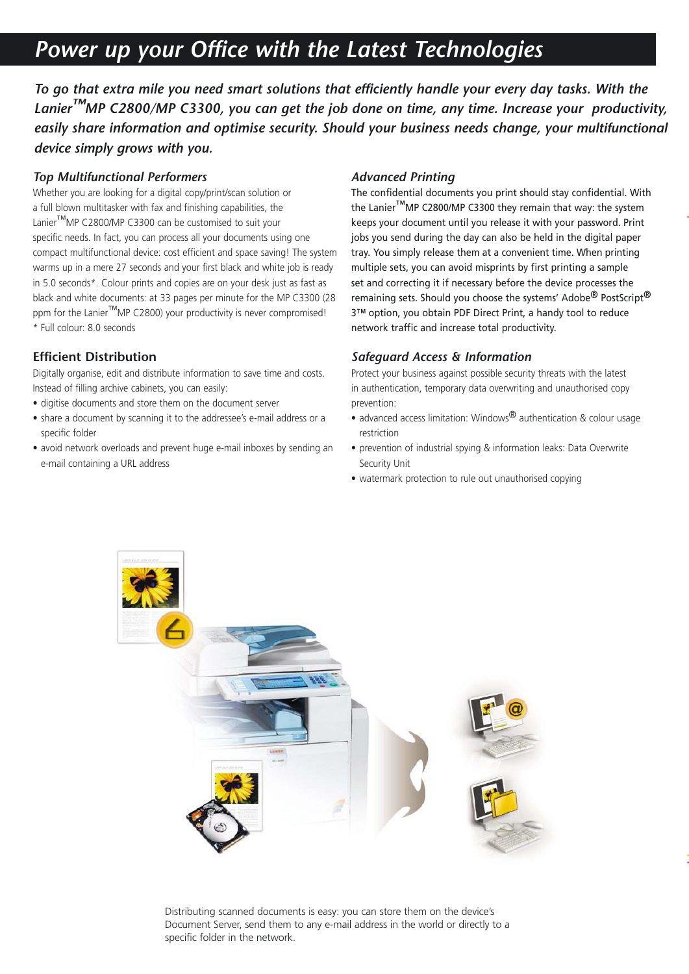### *Power up your Office with the Latest Technologies*

*To go that extra mile you need smart solutions that efficiently handle your every day tasks. With the Lanier™MP C2800/MP C3300, you can get the job done on time, any time. Increase your productivity,*  easily share information and optimise security. Should your business needs change, your multifunctional *device simply grows with you.*

#### *Top Multifunctional Performers*

Whether you are looking for a digital copy/print/scan solution or a full blown multitasker with fax and finishing capabilities, the Lanier™MP C2800/MP C3300 can be customised to suit your specific needs. In fact, you can process all your documents using one compact multifunctional device: cost efficient and space saving! The system warms up in a mere 27 seconds and your first black and white job is ready in 5.0 seconds\*. Colour prints and copies are on your desk just as fast as black and white documents: at 33 pages per minute for the MP C3300 (28 ppm for the Lanier<sup>™</sup>MP C2800) your productivity is never compromised! \* Full colour: 8.0 seconds

#### **Efficient Distribution**

Digitally organise, edit and distribute information to save time and costs. Instead of filling archive cabinets, you can easily:

- digitise documents and store them on the document server
- share a document by scanning it to the addressee's e-mail address or a specific folder
- avoid network overloads and prevent huge e-mail inboxes by sending an e-mail containing a URL address

#### *Advanced Printing*

The confidential documents you print should stay confidential. With the Lanier™MP C2800/MP C3300 they remain that way: the system keeps your document until you release it with your password. Print jobs you send during the day can also be held in the digital paper tray. You simply release them at a convenient time. When printing multiple sets, you can avoid misprints by first printing a sample set and correcting it if necessary before the device processes the remaining sets. Should you choose the systems' Adobe<sup>®</sup> PostScript<sup>®</sup> 3™ option, you obtain PDF Direct Print, a handy tool to reduce network traffic and increase total productivity.

#### *Safeguard Access & Information*

Protect your business against possible security threats with the latest in authentication, temporary data overwriting and unauthorised copy prevention:

- advanced access limitation: Windows<sup>®</sup> authentication & colour usage restriction
- prevention of industrial spying & information leaks: Data Overwrite Security Unit
- watermark protection to rule out unauthorised copying



Distributing scanned documents is easy: you can store them on the device's Document Server, send them to any e-mail address in the world or directly to a specific folder in the network.